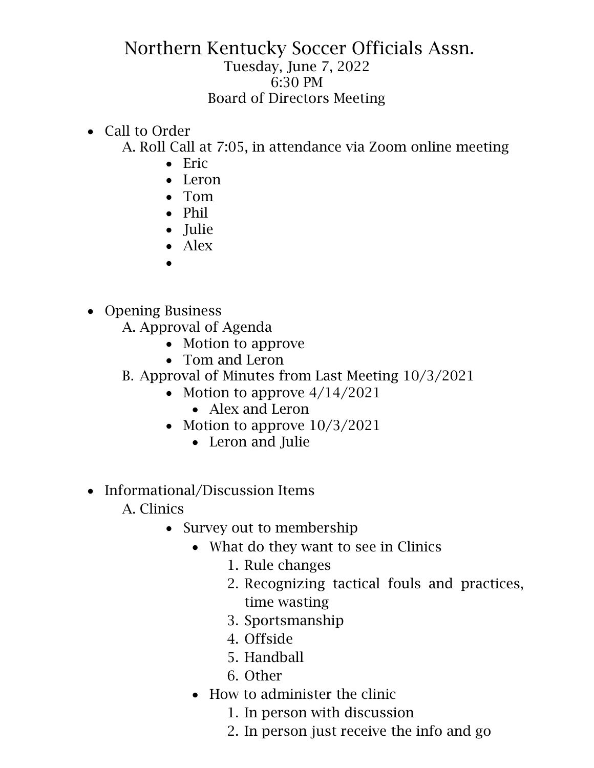## Northern Kentucky Soccer Officials Assn. Tuesday, June 7, 2022 6:30 PM Board of Directors Meeting

• Call to Order

A. Roll Call at 7:05, in attendance via Zoom online meeting

- Eric
- Leron
- Tom
- Phil
- Julie
- Alex
- •
- Opening Business
	- A. Approval of Agenda
		- Motion to approve
		- Tom and Leron
	- B. Approval of Minutes from Last Meeting 10/3/2021
		- Motion to approve  $4/14/2021$ 
			- Alex and Leron
		- Motion to approve  $10/3/2021$ 
			- Leron and Julie
- Informational/Discussion Items
	- A. Clinics
		- Survey out to membership
			- What do they want to see in Clinics
				- 1. Rule changes
				- 2. Recognizing tactical fouls and practices, time wasting
				- 3. Sportsmanship
				- 4. Offside
				- 5. Handball
				- 6. Other
			- How to administer the clinic
				- 1. In person with discussion
				- 2. In person just receive the info and go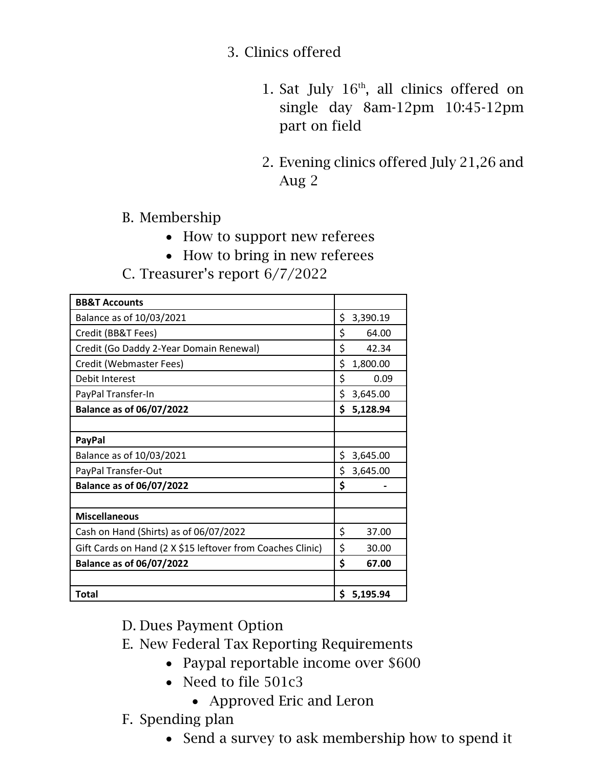## 3. Clinics offered

- 1. Sat July  $16<sup>th</sup>$ , all clinics offered on single day 8am-12pm 10:45-12pm part on field
- 2. Evening clinics offered July 21,26 and Aug 2

B. Membership

- How to support new referees
- How to bring in new referees
- C. Treasurer's report 6/7/2022

| <b>BB&amp;T Accounts</b>                                   |                |
|------------------------------------------------------------|----------------|
| Balance as of 10/03/2021                                   | \$<br>3,390.19 |
| Credit (BB&T Fees)                                         | \$<br>64.00    |
| Credit (Go Daddy 2-Year Domain Renewal)                    | \$<br>42.34    |
| Credit (Webmaster Fees)                                    | \$<br>1,800.00 |
| Debit Interest                                             | \$<br>0.09     |
| PayPal Transfer-In                                         | \$<br>3,645.00 |
| <b>Balance as of 06/07/2022</b>                            | \$<br>5,128.94 |
|                                                            |                |
| <b>PayPal</b>                                              |                |
| Balance as of 10/03/2021                                   | \$<br>3,645.00 |
| PayPal Transfer-Out                                        | \$<br>3,645.00 |
| <b>Balance as of 06/07/2022</b>                            | \$             |
|                                                            |                |
| <b>Miscellaneous</b>                                       |                |
| Cash on Hand (Shirts) as of 06/07/2022                     | \$<br>37.00    |
| Gift Cards on Hand (2 X \$15 leftover from Coaches Clinic) | \$<br>30.00    |
| <b>Balance as of 06/07/2022</b>                            | \$<br>67.00    |
|                                                            |                |
| <b>Total</b>                                               | \$<br>5,195.94 |

D. Dues Payment Option

E. New Federal Tax Reporting Requirements

- Paypal reportable income over \$600
- Need to file 501c3
	- Approved Eric and Leron
- F. Spending plan
	- Send a survey to ask membership how to spend it